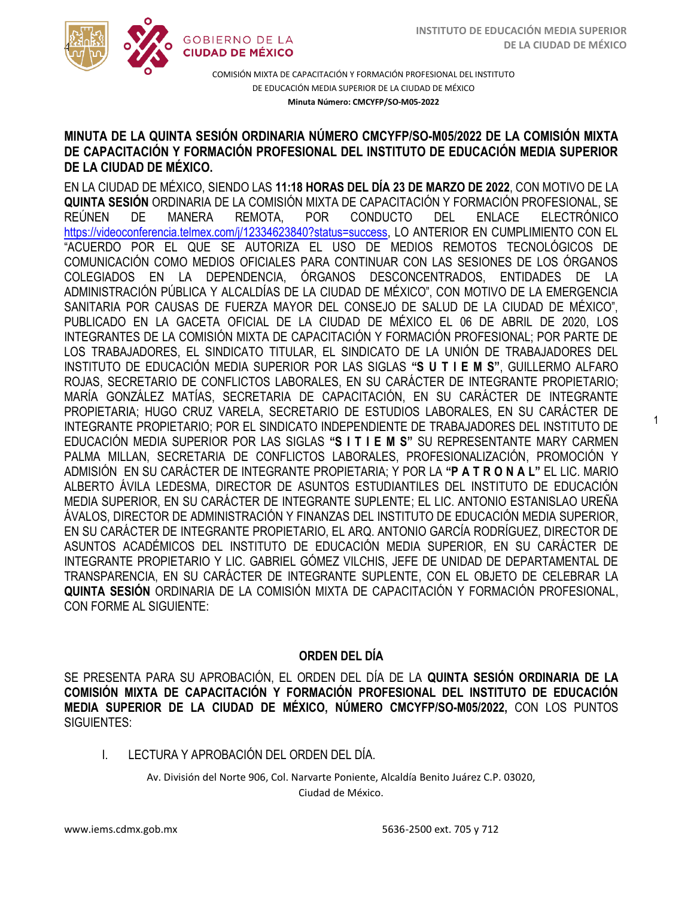1



COMISIÓN MIXTA DE CAPACITACIÓN Y FORMACIÓN PROFESIONAL DEL INSTITUTO DE EDUCACIÓN MEDIA SUPERIOR DE LA CIUDAD DE MÉXICO **Minuta Número: CMCYFP/SO-M05-2022**

#### MINOTA DE LA QUINTA SESIÓN ORDINARIA NOMERO CMETT PISO-MOJIZOZZ DE LA COMISIÓN MIXTA<br>DE CAPACITACIÓN Y FORMACIÓN PROFESIONAL DEL INSTITUTO DE EDUCACIÓN MEDIA SUPERIOR **MINUTA DE LA QUINTA SESIÓN ORDINARIA NÚMERO CMCYFP/SO-M05/2022 DE LA COMISIÓN MIXTA DE LA CIUDAD DE MÉXICO.**

EN LA CIUDAD DE MÉXICO, SIENDO LAS **11:18 HORAS DEL DÍA 23 DE MARZO DE 2022**, CON MOTIVO DE LA **QUINTA SESIÓN** ORDINARIA DE LA COMISIÓN MIXTA DE CAPACITACIÓN Y FORMACIÓN PROFESIONAL, SE REÚNEN DE MANERA REMOTA, POR CONDUCTO DEL ENLACE ELECTRÓNICO [https://videoconferencia.telmex.com/j/12334623840?status=success,](https://videoconferencia.telmex.com/j/12334623840?status=success) LO ANTERIOR EN CUMPLIMIENTO CON EL "ACUERDO POR EL QUE SE AUTORIZA EL USO DE MEDIOS REMOTOS TECNOLÓGICOS DE COMUNICACIÓN COMO MEDIOS OFICIALES PARA CONTINUAR CON LAS SESIONES DE LOS ÓRGANOS COLEGIADOS EN LA DEPENDENCIA, ÓRGANOS DESCONCENTRADOS, ENTIDADES DE LA ADMINISTRACIÓN PÚBLICA Y ALCALDÍAS DE LA CIUDAD DE MÉXICO", CON MOTIVO DE LA EMERGENCIA SANITARIA POR CAUSAS DE FUERZA MAYOR DEL CONSEJO DE SALUD DE LA CIUDAD DE MÉXICO", PUBLICADO EN LA GACETA OFICIAL DE LA CIUDAD DE MÉXICO EL 06 DE ABRIL DE 2020, LOS INTEGRANTES DE LA COMISIÓN MIXTA DE CAPACITACIÓN Y FORMACIÓN PROFESIONAL; POR PARTE DE LOS TRABAJADORES, EL SINDICATO TITULAR, EL SINDICATO DE LA UNIÓN DE TRABAJADORES DEL INSTITUTO DE EDUCACIÓN MEDIA SUPERIOR POR LAS SIGLAS **"S U T I E M S"**, GUILLERMO ALFARO ROJAS, SECRETARIO DE CONFLICTOS LABORALES, EN SU CARÁCTER DE INTEGRANTE PROPIETARIO; MARÍA GONZÁLEZ MATÍAS, SECRETARIA DE CAPACITACIÓN, EN SU CARÁCTER DE INTEGRANTE PROPIETARIA; HUGO CRUZ VARELA, SECRETARIO DE ESTUDIOS LABORALES, EN SU CARÁCTER DE INTEGRANTE PROPIETARIO; POR EL SINDICATO INDEPENDIENTE DE TRABAJADORES DEL INSTITUTO DE EDUCACIÓN MEDIA SUPERIOR POR LAS SIGLAS **"S I T I E M S"** SU REPRESENTANTE MARY CARMEN PALMA MILLAN, SECRETARIA DE CONFLICTOS LABORALES, PROFESIONALIZACIÓN, PROMOCIÓN Y ADMISIÓN EN SU CARÁCTER DE INTEGRANTE PROPIETARIA; Y POR LA **"P A T R O N A L"** EL LIC. MARIO ALBERTO ÁVILA LEDESMA, DIRECTOR DE ASUNTOS ESTUDIANTILES DEL INSTITUTO DE EDUCACIÓN MEDIA SUPERIOR, EN SU CARÁCTER DE INTEGRANTE SUPLENTE; EL LIC. ANTONIO ESTANISLAO UREÑA ÁVALOS, DIRECTOR DE ADMINISTRACIÓN Y FINANZAS DEL INSTITUTO DE EDUCACIÓN MEDIA SUPERIOR, EN SU CARÁCTER DE INTEGRANTE PROPIETARIO, EL ARQ. ANTONIO GARCÍA RODRÍGUEZ, DIRECTOR DE ASUNTOS ACADÉMICOS DEL INSTITUTO DE EDUCACIÓN MEDIA SUPERIOR, EN SU CARÁCTER DE INTEGRANTE PROPIETARIO Y LIC. GABRIEL GÓMEZ VILCHIS, JEFE DE UNIDAD DE DEPARTAMENTAL DE TRANSPARENCIA, EN SU CARÁCTER DE INTEGRANTE SUPLENTE, CON EL OBJETO DE CELEBRAR LA **QUINTA SESIÓN** ORDINARIA DE LA COMISIÓN MIXTA DE CAPACITACIÓN Y FORMACIÓN PROFESIONAL, CON FORME AL SIGUIENTE:

#### **ORDEN DEL DÍA**

SE PRESENTA PARA SU APROBACIÓN, EL ORDEN DEL DÍA DE LA **QUINTA SESIÓN ORDINARIA DE LA COMISIÓN MIXTA DE CAPACITACIÓN Y FORMACIÓN PROFESIONAL DEL INSTITUTO DE EDUCACIÓN MEDIA SUPERIOR DE LA CIUDAD DE MÉXICO, NÚMERO CMCYFP/SO-M05/2022,** CON LOS PUNTOS SIGUIENTES:

I. LECTURA Y APROBACIÓN DEL ORDEN DEL DÍA.

Av. División del Norte 906, Col. Narvarte Poniente, Alcaldía Benito Juárez C.P. 03020, Ciudad de México.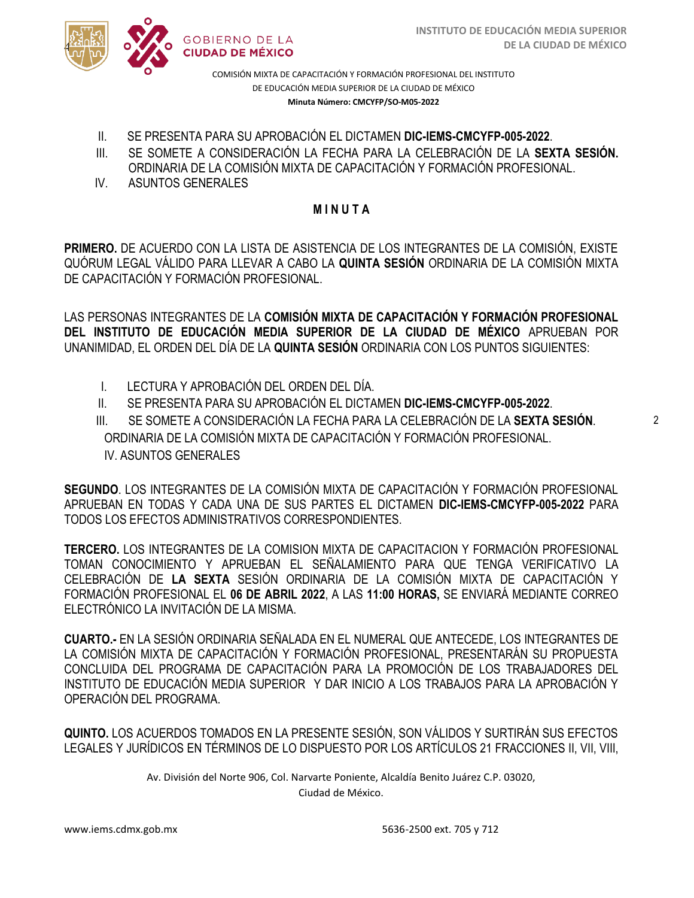



COMISIÓN MIXTA DE CAPACITACIÓN Y FORMACIÓN PROFESIONAL DEL INSTITUTO DE EDUCACIÓN MEDIA SUPERIOR DE LA CIUDAD DE MÉXICO **Minuta Número: CMCYFP/SO-M05-2022**

- II. SE PRESENTA PARA SU APROBACIÓN EL DICTAMEN **DIC-IEMS-CMCYFP-005-2022**.
- ORDINARIA DE LA COMISIÓN MIXTA DE CAPACITACIÓN Y FORMACIÓN PROFESIONAL. III. SE SOMETE A CONSIDERACIÓN LA FECHA PARA LA CELEBRACIÓN DE LA **SEXTA SESIÓN.**
- IV. ASUNTOS GENERALES

#### **M I N U T A**

**PRIMERO.** DE ACUERDO CON LA LISTA DE ASISTENCIA DE LOS INTEGRANTES DE LA COMISIÓN, EXISTE QUÓRUM LEGAL VÁLIDO PARA LLEVAR A CABO LA **QUINTA SESIÓN** ORDINARIA DE LA COMISIÓN MIXTA DE CAPACITACIÓN Y FORMACIÓN PROFESIONAL.

LAS PERSONAS INTEGRANTES DE LA **COMISIÓN MIXTA DE CAPACITACIÓN Y FORMACIÓN PROFESIONAL DEL INSTITUTO DE EDUCACIÓN MEDIA SUPERIOR DE LA CIUDAD DE MÉXICO** APRUEBAN POR UNANIMIDAD, EL ORDEN DEL DÍA DE LA **QUINTA SESIÓN** ORDINARIA CON LOS PUNTOS SIGUIENTES:

- I. LECTURA Y APROBACIÓN DEL ORDEN DEL DÍA.
- II. SE PRESENTA PARA SU APROBACIÓN EL DICTAMEN **DIC-IEMS-CMCYFP-005-2022**.

III. SE SOMETE A CONSIDERACIÓN LA FECHA PARA LA CELEBRACIÓN DE LA **SEXTA SESIÓN**. ORDINARIA DE LA COMISIÓN MIXTA DE CAPACITACIÓN Y FORMACIÓN PROFESIONAL. IV. ASUNTOS GENERALES

**SEGUNDO**. LOS INTEGRANTES DE LA COMISIÓN MIXTA DE CAPACITACIÓN Y FORMACIÓN PROFESIONAL APRUEBAN EN TODAS Y CADA UNA DE SUS PARTES EL DICTAMEN **DIC-IEMS-CMCYFP-005-2022** PARA TODOS LOS EFECTOS ADMINISTRATIVOS CORRESPONDIENTES.

**TERCERO.** LOS INTEGRANTES DE LA COMISION MIXTA DE CAPACITACION Y FORMACIÓN PROFESIONAL TOMAN CONOCIMIENTO Y APRUEBAN EL SEÑALAMIENTO PARA QUE TENGA VERIFICATIVO LA CELEBRACIÓN DE **LA SEXTA** SESIÓN ORDINARIA DE LA COMISIÓN MIXTA DE CAPACITACIÓN Y FORMACIÓN PROFESIONAL EL **06 DE ABRIL 2022**, A LAS **11:00 HORAS,** SE ENVIARÁ MEDIANTE CORREO ELECTRÓNICO LA INVITACIÓN DE LA MISMA.

**CUARTO.-** EN LA SESIÓN ORDINARIA SEÑALADA EN EL NUMERAL QUE ANTECEDE, LOS INTEGRANTES DE LA COMISIÓN MIXTA DE CAPACITACIÓN Y FORMACIÓN PROFESIONAL, PRESENTARÁN SU PROPUESTA CONCLUIDA DEL PROGRAMA DE CAPACITACIÓN PARA LA PROMOCIÓN DE LOS TRABAJADORES DEL INSTITUTO DE EDUCACIÓN MEDIA SUPERIOR Y DAR INICIO A LOS TRABAJOS PARA LA APROBACIÓN Y OPERACIÓN DEL PROGRAMA.

**QUINTO.** LOS ACUERDOS TOMADOS EN LA PRESENTE SESIÓN, SON VÁLIDOS Y SURTIRÁN SUS EFECTOS LEGALES Y JURÍDICOS EN TÉRMINOS DE LO DISPUESTO POR LOS ARTÍCULOS 21 FRACCIONES II, VII, VIII,

Av. División del Norte 906, Col. Narvarte Poniente, Alcaldía Benito Juárez C.P. 03020,

Ciudad de México.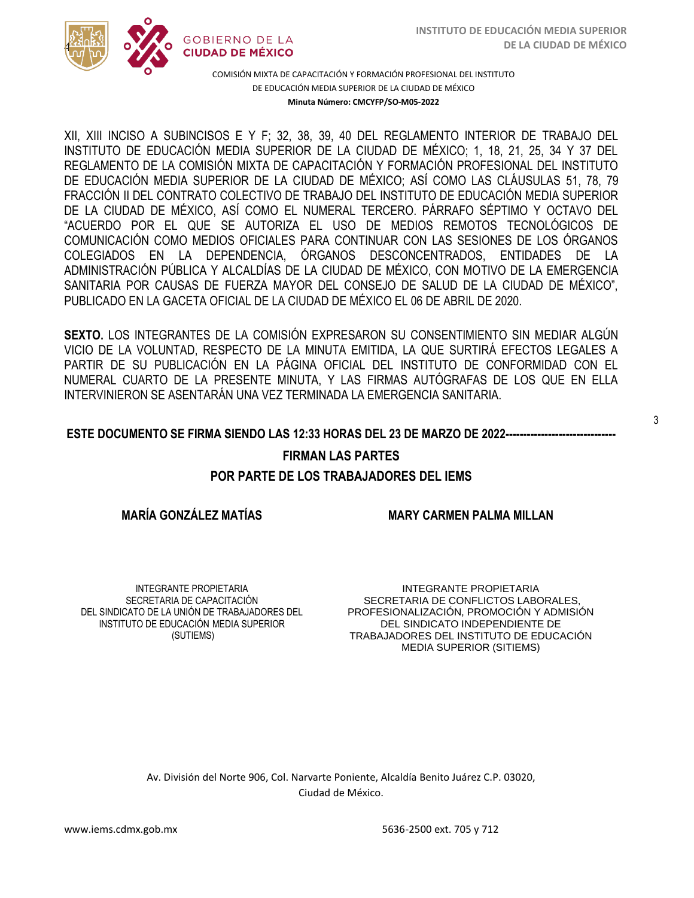

COMISIÓN MIXTA DE CAPACITACIÓN Y FORMACIÓN PROFESIONAL DEL INSTITUTO DE EDUCACIÓN MEDIA SUPERIOR DE LA CIUDAD DE MÉXICO **Minuta Número: CMCYFP/SO-M05-2022**

/2020 INSTITUTO DE EDUCACIÓN MEDIA SUPERIOR DE LA CIUDAD DE MÉXICO; 1, 18, 21, 25, 34 Y 37 DEL  REGLAMENTO DE LA COMISIÓN MIXTA DE CAPACITACIÓN Y FORMACIÓN PROFESIONAL DEL INSTITUTO XII, XIII INCISO A SUBINCISOS E Y F; 32, 38, 39, 40 DEL REGLAMENTO INTERIOR DE TRABAJO DEL DE EDUCACIÓN MEDIA SUPERIOR DE LA CIUDAD DE MÉXICO; ASÍ COMO LAS CLÁUSULAS 51, 78, 79 FRACCIÓN II DEL CONTRATO COLECTIVO DE TRABAJO DEL INSTITUTO DE EDUCACIÓN MEDIA SUPERIOR DE LA CIUDAD DE MÉXICO, ASÍ COMO EL NUMERAL TERCERO. PÁRRAFO SÉPTIMO Y OCTAVO DEL "ACUERDO POR EL QUE SE AUTORIZA EL USO DE MEDIOS REMOTOS TECNOLÓGICOS DE COMUNICACIÓN COMO MEDIOS OFICIALES PARA CONTINUAR CON LAS SESIONES DE LOS ÓRGANOS COLEGIADOS EN LA DEPENDENCIA, ÓRGANOS DESCONCENTRADOS, ENTIDADES DE LA ADMINISTRACIÓN PÚBLICA Y ALCALDÍAS DE LA CIUDAD DE MÉXICO, CON MOTIVO DE LA EMERGENCIA SANITARIA POR CAUSAS DE FUERZA MAYOR DEL CONSEJO DE SALUD DE LA CIUDAD DE MÉXICO", PUBLICADO EN LA GACETA OFICIAL DE LA CIUDAD DE MÉXICO EL 06 DE ABRIL DE 2020.

**SEXTO.** LOS INTEGRANTES DE LA COMISIÓN EXPRESARON SU CONSENTIMIENTO SIN MEDIAR ALGÚN VICIO DE LA VOLUNTAD, RESPECTO DE LA MINUTA EMITIDA, LA QUE SURTIRÁ EFECTOS LEGALES A PARTIR DE SU PUBLICACIÓN EN LA PÁGINA OFICIAL DEL INSTITUTO DE CONFORMIDAD CON EL NUMERAL CUARTO DE LA PRESENTE MINUTA, Y LAS FIRMAS AUTÓGRAFAS DE LOS QUE EN ELLA INTERVINIERON SE ASENTARÁN UNA VEZ TERMINADA LA EMERGENCIA SANITARIA.

#### **ESTE DOCUMENTO SE FIRMA SIENDO LAS 12:33 HORAS DEL 23 DE MARZO DE 2022-------------------------------**

#### **FIRMAN LAS PARTES**

#### **POR PARTE DE LOS TRABAJADORES DEL IEMS**

#### **MARÍA GONZÁLEZ MATÍAS**

**MARY CARMEN PALMA MILLAN**

INTEGRANTE PROPIETARIA SECRETARIA DE CAPACITACIÓN DEL SINDICATO DE LA UNIÓN DE TRABAJADORES DEL INSTITUTO DE EDUCACIÓN MEDIA SUPERIOR (SUTIEMS)

INTEGRANTE PROPIETARIA SECRETARIA DE CONFLICTOS LABORALES, PROFESIONALIZACIÓN, PROMOCIÓN Y ADMISIÓN DEL SINDICATO INDEPENDIENTE DE TRABAJADORES DEL INSTITUTO DE EDUCACIÓN MEDIA SUPERIOR (SITIEMS)

Av. División del Norte 906, Col. Narvarte Poniente, Alcaldía Benito Juárez C.P. 03020, Ciudad de México.